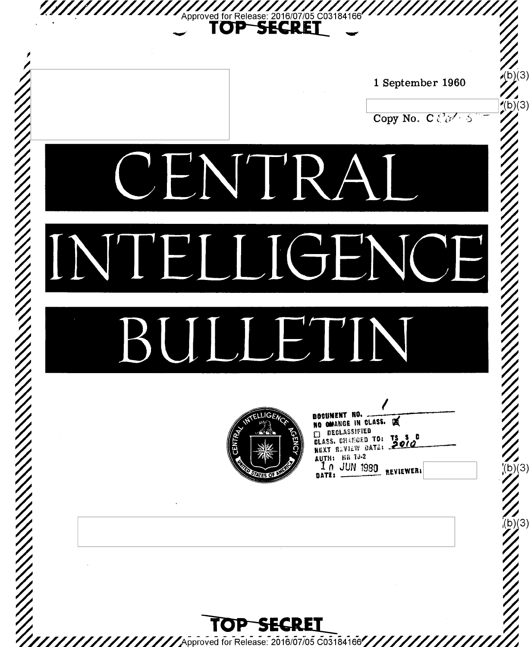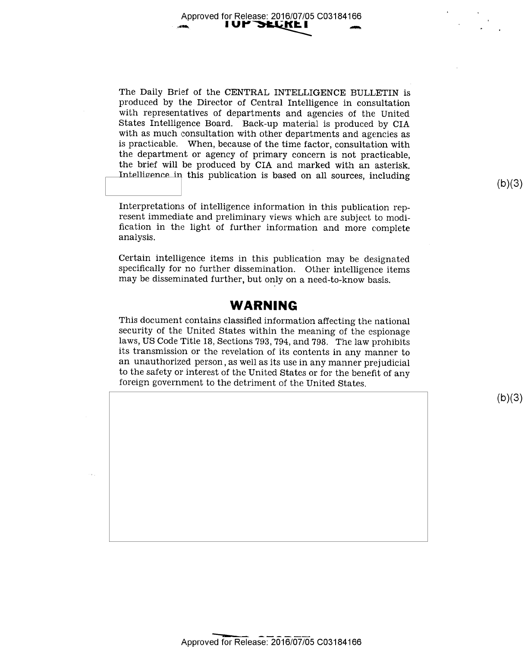Approved for Release: 2016/07/05 C03184166 I UP **de**like i

The Daily Brief of the CENTRAL INTELLIGENCE BULLETIN is produced by the Director of Central Intelligence in consultation with representatives of departments and agencies of the United States Intelligence Board. Back-up material is produced by CIA with as much consultation with other departments and agencies as is practicable. When, because of the time factor, consultation with the department or agency of primary concern is not practicable, the brief will be produced by CIA and marked with an asterisk. Intelligence in this publication is based on all sources, including

Interpretations of intelligence information in this publication represent immediate and preliminary views which are subject to modification in the light of further information and more complete analysis.

Certain intelligence items in this publication may be designated specifically for no further dissemination. Other intelligence items may be disseminated further, but only on a need-to-know basis.

#### WARNING

This document contains classified information affecting the national security of the United States within the meaning of the espionage laws, US Code Title 18, Sections 793, 794, and 798. The law prohibits an unauthorized person, as well as its use in any manner prejudicial to the safety or interest of the United States or for the benefit of any foreign government to the detriment of the United States.

 $(b)(3)$ 

 $(b)(3)$ 

Approved for Release: 2016/07/05 C03184166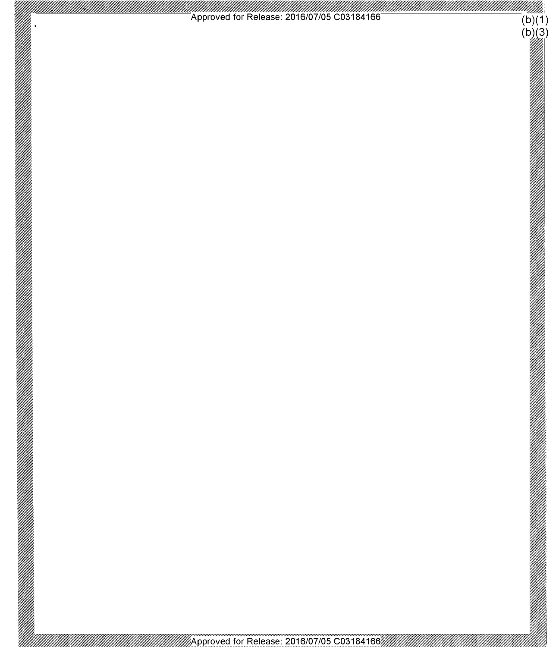

g<br>M

U,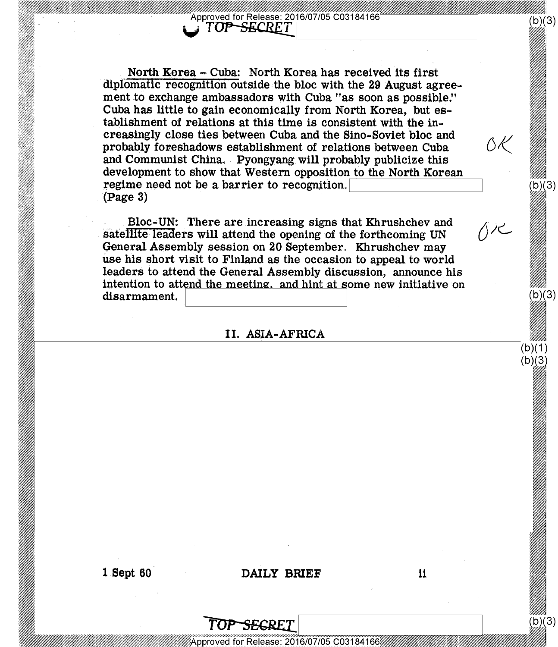Approved for Release: 2016/07/05 C03184166 TOP-SECRET

North Korea - Cuba: North Korea has received its first diplomatic recognition outside the bloc with the 29 August agreement to exchange ambassadors with Cuba "as soon as possible." Cuba has little to gain economically from North Korea, but establishment of relations at this time is consistent with the increasingly close ties between Cuba and the Sino-Soviet bloc and probably foreshadows establishment of relations between Cuba and Communist China. Pyongyang will probably publicize this development to show that Western opposition to the North Korean regime need not be a barrier to recognition.  $(Page 3)$ 

Bloc-UN: There are increasing signs that Khrushchev and satellite leaders will attend the opening of the forthcoming UN General Assembly session on 20 September. Khrushchev may use his short visit to Finland as the occasion to appeal to world leaders to attend the General Assembly discussion, announce his intention to attend the meeting, and hint at some new initiative on disarmament.

#### II. ASIA-AFRICA

 $1$  Sept  $60$ 

DAILY BRIEF

Approved for Release: 2016/07/05 C03184166

SEGRET

 $(b)(3)$ 

 $(b)(3)$ 

 $(b)(3)$ 

 $(b)(1)$  $(b)(3)$ 

 $(b)(3)$ 

ŐΚ

イル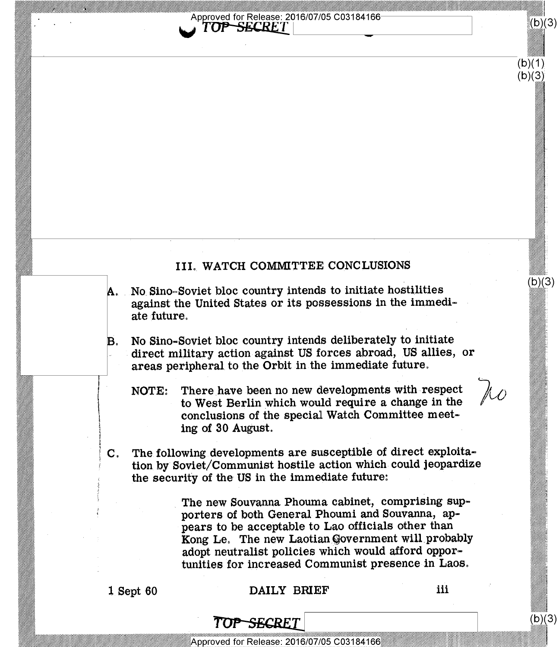

#### III. WATCH COMMITTEE CONCLUSIONS

- No. Sino-Soviet bloc country intends to initiate hostilities against the United States or its possessions in the immediate future.
- B. No Sino-Soviet bloc country intends deliberately to initiate direct military action against US forces abroad, US allies, or areas peripheral to the Orbit in the immediate future.
	- NOTE: There have been no new developments with respect to West Berlin which would require a change in the conclusions of the special Watch Committee meeting of 30 August.
- C. The following developments are susceptible of direct exploitation by' Soviet/Communist hostile action which could jeopardize the security of the US in the immediate future:

The new Souvanna Phouma cabinet, comprising supporters of both General Phoumi and Souvanna, appears to be acceptable to Lao officials other than Kong Le. The new Laotian Government will probably adopt neutralist policies which would afford opportunities for increased Communist presence in Laos.

\// \

\\\\\

#### 1 Sept 60 DAILY BRIEF iii

\\\

 $(b)(3)$ 

%'a

 $(b)(3)$ 

 $(b)(3)$ 

 $(b)(1)$  $(b)(3)$ 

### TOP<del>SEC</del>RET

Approved for Release: 2016/07/05 C03184166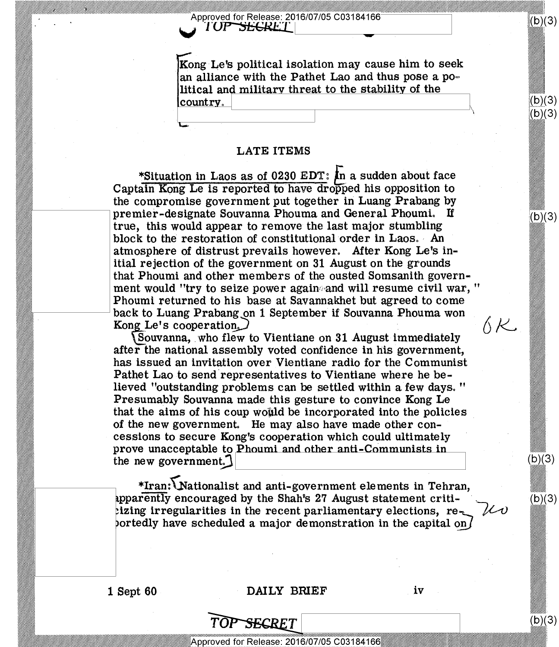## Approved for Release: 2016/07/05 C03184166<br>A TUP SECRET

Kong-L\_e's political isolation may cause him to seek an alliance with the Pathet Lao and thus pose a political and militarv threat to the stability of the  $|countrv_{\alpha}|$ 

#### LATE ITEMS

\*Situation in Laos as of 0230 EDT: In a sudden about face Captain Kong Le is reported to have dropped his opposition to the compromise government put together in Luang Prabang by premier-designate Souvanna Phouma and General Phoumi. If true, this would appear to remove the last major stumbling block to the restoration of constitutional order in Laos. An atmosphere of distrust prevails however. After Kong Le's initial rejection of the government on 31 August on the grounds that Phoumi and other members of the ousted Somsanith government would "try to seize power again and will resume civil war, " Phoumi returned to his base at Savannakhet but agreed to come back to Luang Prabang on 1 September if Souvanna Phouma won Kong Le's cooperation. Kong Le's cooperation.

Souvanna, who flew to Vientiane on 31 August immediately after the national assembly voted confidence in his government, has issued an invitation over Vientiane radio for the Communist Pathet Lao to send representatives to Vientiane where he believed "outstanding problems can be settled within a few days. " Presumably Souvanna made this gesture to convince Kong Le that the aims of his coup would be incorporated into the policies of the new government. He may also have made other concessions to secure Kong's cooperation which could ultimately ' prove unacceptable to Phoumi and other anti-Communi the new government.

\*Iran:{Nationalist and anti-government elements in Tehran, pparently encouraged by the Shah's 27 August statement critiizing irregularities in the recent parliamentary elections, re portedly have scheduled a major demonstration in the capital on  $\ell$ 

#### 1 Sept 60 DAILY BRIEF iv

(b)(3)<br>(b)(3)

《b)(3)

 $(b)(3)$ 

(D)

 $(b)(3)$ 

 $(b)(3)$ 

 $\land$   $\kappa$ 

 $\mathcal{U}$ 

Approved for Release: 2016/07/05 C03184166

SECRET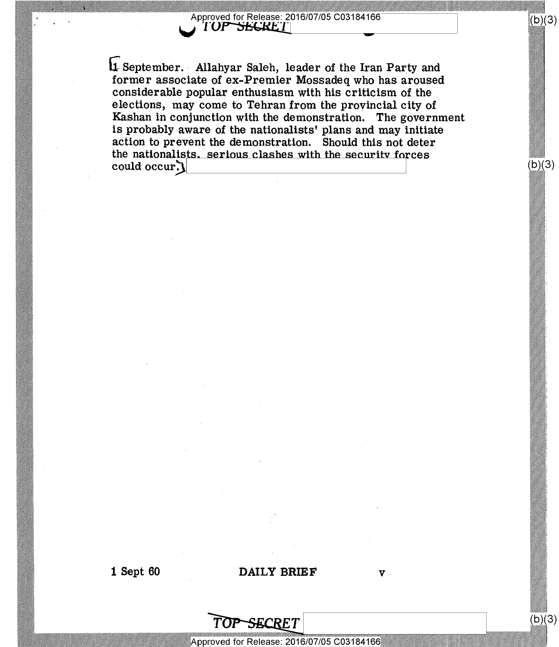## % / pprove for Release" 2016/07/05 C03184166 <sup>V</sup>'11 \_

%%%//

(b)(3)

 $(b)(3)$ 

1 September. Allahyar Saleh, leader of the Iran Party and former associate of ex-Premier Mossadeq who has aroused considerable popular enthusiasm with his criticism of the elections, may come to Tehran from the provincial city of Kashan in conjunction with the demonstration. The government is probably aware of the nationalists' plans and may initiate action to prevent the demonstration. Should this not deter the nationalists, serious clashes with the security forces could occur.

#### 1 Sept 60 DAILY BRIEF v

# $\overline{\text{TOP-SECRET}}^{(\text{D}}$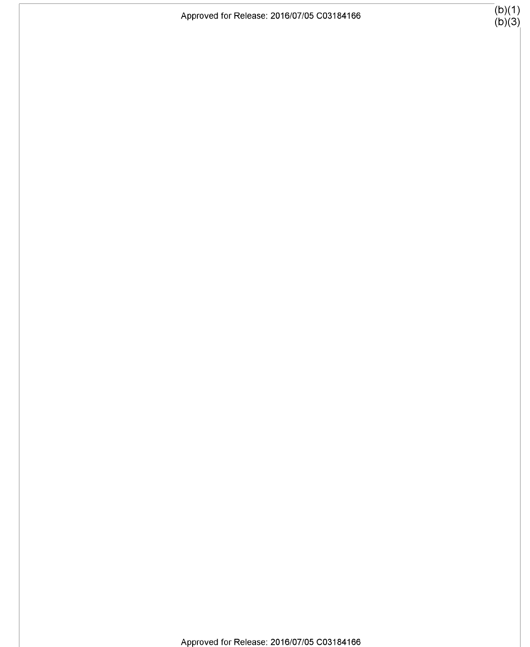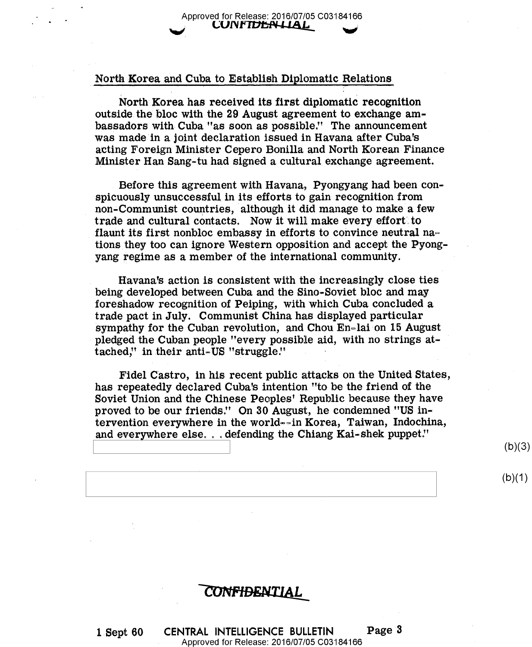#### North Korea and Cuba to Establish Diplomatic Relations

North Korea has received its first diplomatic recognition outside. the bloc with the 29 August agreement to exchange ambassadors with- Cuba "as soon as possible." The announcement was made in a joint declaration issued in Havana after Cuba's acting Foreign Minister Cepero Bonilla and North Korean Finance Minister Han Sang-tu had signed a cultural, exchange agreement.

Before this agreement with Havana, Pyongyang had been conspicuously unsuccessful in its efforts to gain recognition from non-Communist countries, although it did manage to make a few trade and cultural contacts. Now it will make every effort to flaunt its first nonbloc embassy in efforts to convince neutral nations they too can ignore Western opposition and accept the Pyongyang regime as a member of the international community.

Havana's action is consistent with the increasingly close ties being developed between Cuba and the Sino-Soviet bloc and may foreshadow recognition of Peiping, with which Cuba concluded a trade pact in July. Communist China has displayed particular sympathy for the Cuban revolution, and Chou  $En$ -lai on 15 August pledged the Cuban people "every possible aid, with no strings attached," in their anti-US "struggle."

Fidel Castro, in his recent public attacks on the United States has repeatedly declared Cuba's intention "to be the friend of the Soviet Union and the Chinese Peoples' Republic because they have proved to be our friends." On 30 August, he condemned "US intervention everywhere in the world--in Korea, Taiwan, Indochina, and everywhere else... defending the Chiang Kai-shek puppet."

 $\left( \begin{array}{c} \n\sqrt{2} & \n\end{array} \right)$ 

 $(b)(1)$ 

#### **CONFIDENTIAL**

l.Sept 60 CENTRAL INTELLIGENCE BULLETIN Page <sup>3</sup> Approved for Release: 2016/07/05 C03184166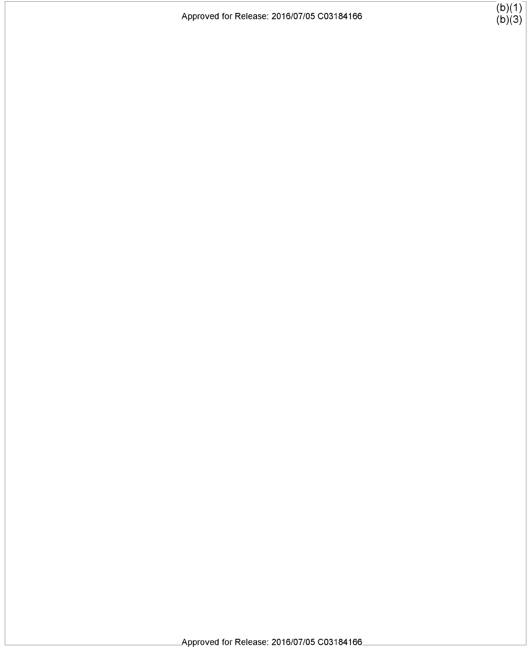$\begin{bmatrix} (b)(1) \ (b)(3) \end{bmatrix}$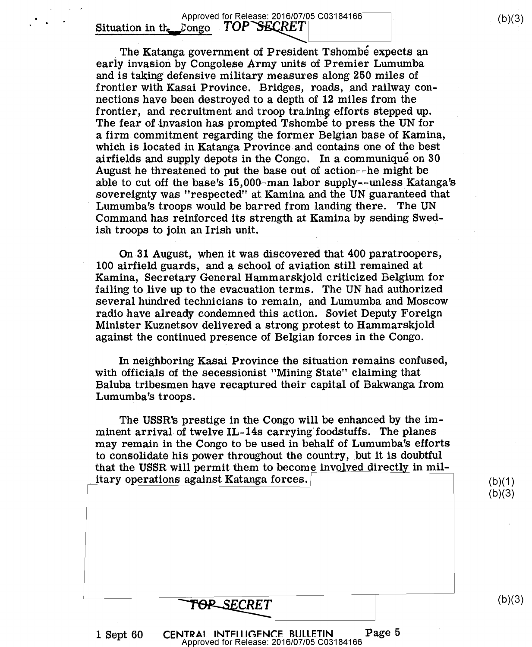Approved for Release: 2016/07/05 C03184166 Situation in the Longo  $TOP$  SECRET

The Katanga government of President Tshombe expects an early invasion by Congolese Army units of Premier Lumumba and is taking' defensive military measures along 250 miles of frontier with Kasai Province. Bridges, roads, and railway connections have been destroyed to a depth of 12 miles from the frontier, and recruitment and troop training efforts stepped up. The fear of invasion has prompted Tshombe to press the UN for afirm commitment regarding the former Belgian base of Kamina, which is located in Katanga Province and contains one of the best airfields and supply depots in the Congo. In a communique on 30 August he threatened to put the base out of action= $e^{\pm}$  might be able to cut off the base's 15,000-man labor supply--unless Katanga's sovereignty was "respected" at Kamina and the UN guaranteed that Lumumba's troops would be barred from landing there. Command has reinforced its strength at Kamina by sending Swedish troops to join an Irish unit.

On 31 August, when it was discovered that 400 paratroopers, 100 airfield guards, and a school of aviation still remained at Kamina, Secretary General Hammarskjold criticized Belgium for failing to live up to the evacuation terms. The UN had authorized several hundred technicians to remain, and Lumumba and Moscow radio have already condemned this action. Soviet Deputy Foreign Minister Kuznetsov delivered a strong protest to Hammarskjold against the continued presence of Belgian forces in the Congo.

In neighboring Kasai Province the situation remains confused, with officials of the secessionist "Mining State" claiming that Baluba tribesmen have recaptured their capital of Bakwanga from Lumumba's troops.

The USSR's prestige in the Congo will be enhanced by the imminent arrival of twelve  $IL-14s$  carrying foodstuffs. The planes may remain in the Congo to be used in behalf of Lumumba's efforts to consolidate his power throughout the country, but it is doubtful that the USSR will permit them to become involved directly in military operations against Katanga forces. /

 $(b)(1)$  $(b)(3)$ 

 $(b)(3)$ 

 $(b)(3)$ 

<sup>1</sup>Sept 60 CENTRAL INTELLIGENCE BULLETIN Page <sup>5</sup> Approved for Release: 2016/07/05 C03184166

TOP\_SECRET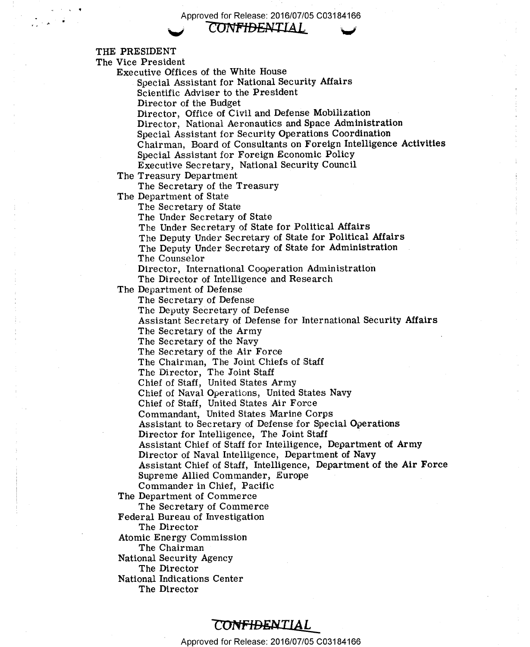Approved for Release: 2016/07/05 C03184166

*CONFIDENTIAL* 

THE PRESIDENT

The Vice President

Executive Offices of the White House

Special Assistant for National Security Affairs

Scientific Adviser to the President

Director of the Budget

Director, Office of Civil and Defense Mobilization

Director, National Aeronautics and Space Administration

Special Assistant for Security Operations Coordination

Chairman, Board of Consultants on Foreign Intelligence Activities

Special Assistant for Foreign Economic Policy

Executive Secretary, National Security Council

The Treasury Department

The Secretary of the Treasury

The Department of State

The Secretary of State

The Under Secretary of State

The Under Secretary of State for Political Affairs

The Deputy Under Secretary of State for Political Affairs

The Deputy Under Secretary of State for Administration The Counselor

Director, International Cooperation Administration

The Director of Intelligence and Research

The Department of Defense

The Secretary of Defense

The Deputy Secretary of Defense

Assistant Secretary of Defense for International Security Affairs

The Secretary of the Army

The Secretary of the Navy

The Secretary of the Air Force

The Chairman, The Joint Chiefs of Staff

The Director, The Joint Staff

Chief of Staff, United States Army

Chief of Naval Operations, United States Navy

Chief of Staff, United States Air Force

Commandant, United States Marine Corps

Assistant to Secretary of Defense for Special Operations

Director for Intelligence, The Joint Staff

Assistant Chief of Staff for Intelligence, Department of Army

Director of Naval Intelligence, Department of Navy

Assistant Chief of Staff, Intelligence, Department of the Air Force Supreme Allied Commander, Europe

Commander in Chief, Pacific

The Department of Commerce

The Secretary of Commerce

Federal Bureau of Investigation

The Director

Atomic Energy Commission

The Chairman

National Security Agency

The Director

National Indications Center

The Director

#### CONFIDENTIAL

Approved for Release: 2016/07/05 C03184166